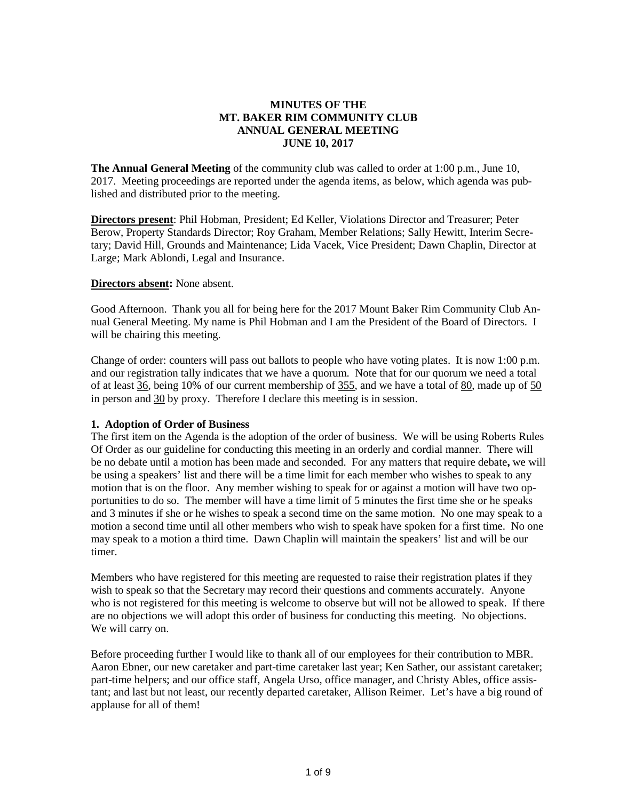# **MINUTES OF THE MT. BAKER RIM COMMUNITY CLUB ANNUAL GENERAL MEETING JUNE 10, 2017**

**The Annual General Meeting** of the community club was called to order at 1:00 p.m., June 10, 2017. Meeting proceedings are reported under the agenda items, as below, which agenda was published and distributed prior to the meeting.

**Directors present**: Phil Hobman, President; Ed Keller, Violations Director and Treasurer; Peter Berow, Property Standards Director; Roy Graham, Member Relations; Sally Hewitt, Interim Secretary; David Hill, Grounds and Maintenance; Lida Vacek, Vice President; Dawn Chaplin, Director at Large; Mark Ablondi, Legal and Insurance.

## **Directors absent:** None absent.

Good Afternoon. Thank you all for being here for the 2017 Mount Baker Rim Community Club Annual General Meeting. My name is Phil Hobman and I am the President of the Board of Directors. I will be chairing this meeting.

Change of order: counters will pass out ballots to people who have voting plates. It is now 1:00 p.m. and our registration tally indicates that we have a quorum. Note that for our quorum we need a total of at least 36, being 10% of our current membership of 355, and we have a total of 80, made up of 50 in person and 30 by proxy. Therefore I declare this meeting is in session.

#### **1. Adoption of Order of Business**

The first item on the Agenda is the adoption of the order of business. We will be using Roberts Rules Of Order as our guideline for conducting this meeting in an orderly and cordial manner. There will be no debate until a motion has been made and seconded. For any matters that require debate**,** we will be using a speakers' list and there will be a time limit for each member who wishes to speak to any motion that is on the floor. Any member wishing to speak for or against a motion will have two opportunities to do so. The member will have a time limit of 5 minutes the first time she or he speaks and 3 minutes if she or he wishes to speak a second time on the same motion. No one may speak to a motion a second time until all other members who wish to speak have spoken for a first time. No one may speak to a motion a third time. Dawn Chaplin will maintain the speakers' list and will be our timer.

Members who have registered for this meeting are requested to raise their registration plates if they wish to speak so that the Secretary may record their questions and comments accurately. Anyone who is not registered for this meeting is welcome to observe but will not be allowed to speak. If there are no objections we will adopt this order of business for conducting this meeting. No objections. We will carry on.

Before proceeding further I would like to thank all of our employees for their contribution to MBR. Aaron Ebner, our new caretaker and part-time caretaker last year; Ken Sather, our assistant caretaker; part-time helpers; and our office staff, Angela Urso, office manager, and Christy Ables, office assistant; and last but not least, our recently departed caretaker, Allison Reimer. Let's have a big round of applause for all of them!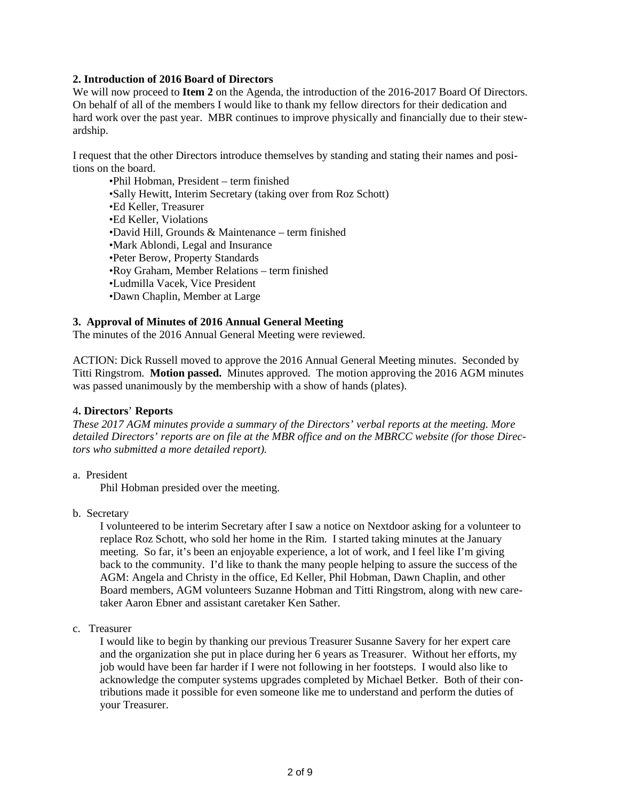# **2. Introduction of 2016 Board of Directors**

We will now proceed to **Item 2** on the Agenda, the introduction of the 2016-2017 Board Of Directors. On behalf of all of the members I would like to thank my fellow directors for their dedication and hard work over the past year. MBR continues to improve physically and financially due to their stewardship.

I request that the other Directors introduce themselves by standing and stating their names and positions on the board.

•Phil Hobman, President – term finished •Sally Hewitt, Interim Secretary (taking over from Roz Schott) •Ed Keller, Treasurer •Ed Keller, Violations •David Hill, Grounds & Maintenance – term finished •Mark Ablondi, Legal and Insurance •Peter Berow, Property Standards •Roy Graham, Member Relations – term finished •Ludmilla Vacek, Vice President •Dawn Chaplin, Member at Large

### **3. Approval of Minutes of 2016 Annual General Meeting**

The minutes of the 2016 Annual General Meeting were reviewed.

ACTION: Dick Russell moved to approve the 2016 Annual General Meeting minutes. Seconded by Titti Ringstrom. **Motion passed.** Minutes approved. The motion approving the 2016 AGM minutes was passed unanimously by the membership with a show of hands (plates).

#### 4**. Directors**' **Reports**

*These 2017 AGM minutes provide a summary of the Directors' verbal reports at the meeting. More* detailed Directors' reports are on file at the MBR office and on the MBRCC website (for those Direc*tors who submitted a more detailed report).*

a. President

Phil Hobman presided over the meeting.

b. Secretary

I volunteered to be interim Secretary after I saw a notice on Nextdoor asking for a volunteer to replace Roz Schott, who sold her home in the Rim. I started taking minutes at the January meeting. So far, it's been an enjoyable experience, a lot of work, and I feel like I'm giving back to the community. I'd like to thank the many people helping to assure the success of the AGM: Angela and Christy in the office, Ed Keller, Phil Hobman, Dawn Chaplin, and other Board members, AGM volunteers Suzanne Hobman and Titti Ringstrom, along with new caretaker Aaron Ebner and assistant caretaker Ken Sather.

c. Treasurer

I would like to begin by thanking our previous Treasurer Susanne Savery for her expert care and the organization she put in place during her 6 years as Treasurer. Without her efforts, my job would have been far harder if I were not following in her footsteps. I would also like to acknowledge the computer systems upgrades completed by Michael Betker. Both of their contributions made it possible for even someone like me to understand and perform the duties of your Treasurer.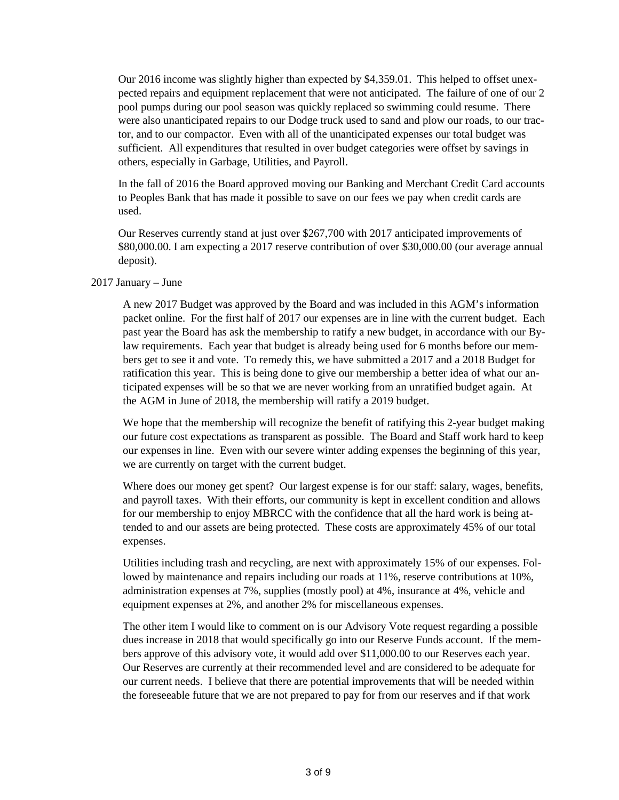Our 2016 income was slightly higher than expected by \$4,359.01. This helped to offset unexpected repairs and equipment replacement that were not anticipated. The failure of one of our 2 pool pumps during our pool season was quickly replaced so swimming could resume. There were also unanticipated repairs to our Dodge truck used to sand and plow our roads, to our tractor, and to our compactor. Even with all of the unanticipated expenses our total budget was sufficient. All expenditures that resulted in over budget categories were offset by savings in others, especially in Garbage, Utilities, and Payroll.

In the fall of 2016 the Board approved moving our Banking and Merchant Credit Card accounts to Peoples Bank that has made it possible to save on our fees we pay when credit cards are used.

Our Reserves currently stand at just over \$267,700 with 2017 anticipated improvements of \$80,000.00. I am expecting a 2017 reserve contribution of over \$30,000.00 (our average annual deposit).

### 2017 January – June

A new 2017 Budget was approved by the Board and was included in this AGM's information packet online. For the first half of 2017 our expenses are in line with the current budget. Each past year the Board has ask the membership to ratify a new budget, in accordance with our Bylaw requirements. Each year that budget is already being used for 6 months before our members get to see it and vote. To remedy this, we have submitted a 2017 and a 2018 Budget for ratification this year. This is being done to give our membership a better idea of what our anticipated expenses will be so that we are never working from an unratified budget again. At the AGM in June of 2018, the membership will ratify a 2019 budget.

We hope that the membership will recognize the benefit of ratifying this 2-year budget making our future cost expectations as transparent as possible. The Board and Staff work hard to keep our expenses in line. Even with our severe winter adding expenses the beginning of this year, we are currently on target with the current budget.

Where does our money get spent? Our largest expense is for our staff: salary, wages, benefits, and payroll taxes. With their efforts, our community is kept in excellent condition and allows for our membership to enjoy MBRCC with the confidence that all the hard work is being attended to and our assets are being protected. These costs are approximately 45% of our total expenses.

Utilities including trash and recycling, are next with approximately 15% of our expenses. Followed by maintenance and repairs including our roads at 11%, reserve contributions at 10%, administration expenses at 7%, supplies (mostly pool) at 4%, insurance at 4%, vehicle and equipment expenses at 2%, and another 2% for miscellaneous expenses.

The other item I would like to comment on is our Advisory Vote request regarding a possible dues increase in 2018 that would specifically go into our Reserve Funds account. If the members approve of this advisory vote, it would add over \$11,000.00 to our Reserves each year. Our Reserves are currently at their recommended level and are considered to be adequate for our current needs. I believe that there are potential improvements that will be needed within the foreseeable future that we are not prepared to pay for from our reserves and if that work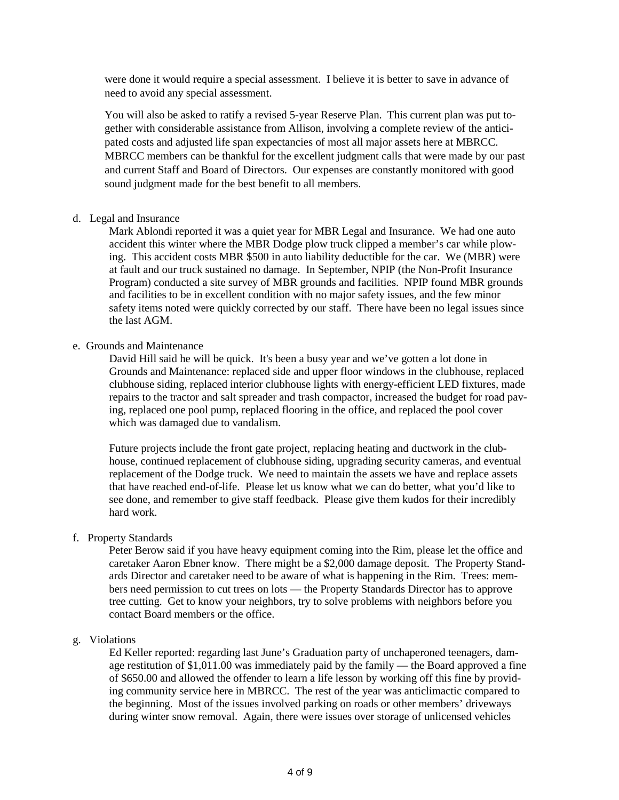were done it would require a special assessment. I believe it is better to save in advance of need to avoid any special assessment.

You will also be asked to ratify a revised 5-year Reserve Plan. This current plan was put together with considerable assistance from Allison, involving a complete review of the anticipated costs and adjusted life span expectancies of most all major assets here at MBRCC. MBRCC members can be thankful for the excellent judgment calls that were made by our past and current Staff and Board of Directors. Our expenses are constantly monitored with good sound judgment made for the best benefit to all members.

### d. Legal and Insurance

Mark Ablondi reported it was a quiet year for MBR Legal and Insurance. We had one auto accident this winter where the MBR Dodge plow truck clipped a member's car while plowing. This accident costs MBR \$500 in auto liability deductible for the car. We (MBR) were at fault and our truck sustained no damage. In September, NPIP (the Non-Profit Insurance Program) conducted a site survey of MBR grounds and facilities. NPIP found MBR grounds and facilities to be in excellent condition with no major safety issues, and the few minor safety items noted were quickly corrected by our staff. There have been no legal issues since the last AGM.

### e. Grounds and Maintenance

David Hill said he will be quick. It's been a busy year and we've gotten a lot done in Grounds and Maintenance: replaced side and upper floor windows in the clubhouse, replaced clubhouse siding, replaced interior clubhouse lights with energy-efficient LED fixtures, made repairs to the tractor and salt spreader and trash compactor, increased the budget for road paving, replaced one pool pump, replaced flooring in the office, and replaced the pool cover which was damaged due to vandalism.

Future projects include the front gate project, replacing heating and ductwork in the clubhouse, continued replacement of clubhouse siding, upgrading security cameras, and eventual replacement of the Dodge truck. We need to maintain the assets we have and replace assets that have reached end-of-life. Please let us know what we can do better, what you'd like to see done, and remember to give staff feedback. Please give them kudos for their incredibly hard work.

## f. Property Standards

Peter Berow said if you have heavy equipment coming into the Rim, please let the office and caretaker Aaron Ebner know. There might be a \$2,000 damage deposit. The Property Standards Director and caretaker need to be aware of what is happening in the Rim. Trees: members need permission to cut trees on lots — the Property Standards Director has to approve tree cutting. Get to know your neighbors, try to solve problems with neighbors before you contact Board members or the office.

## g. Violations

Ed Keller reported: regarding last June's Graduation party of unchaperoned teenagers, damage restitution of \$1,011.00 was immediately paid by the family — the Board approved a fine of \$650.00 and allowed the offender to learn a life lesson by working off this fine by providing community service here in MBRCC. The rest of the year was anticlimactic compared to the beginning. Most of the issues involved parking on roads or other members' driveways during winter snow removal. Again, there were issues over storage of unlicensed vehicles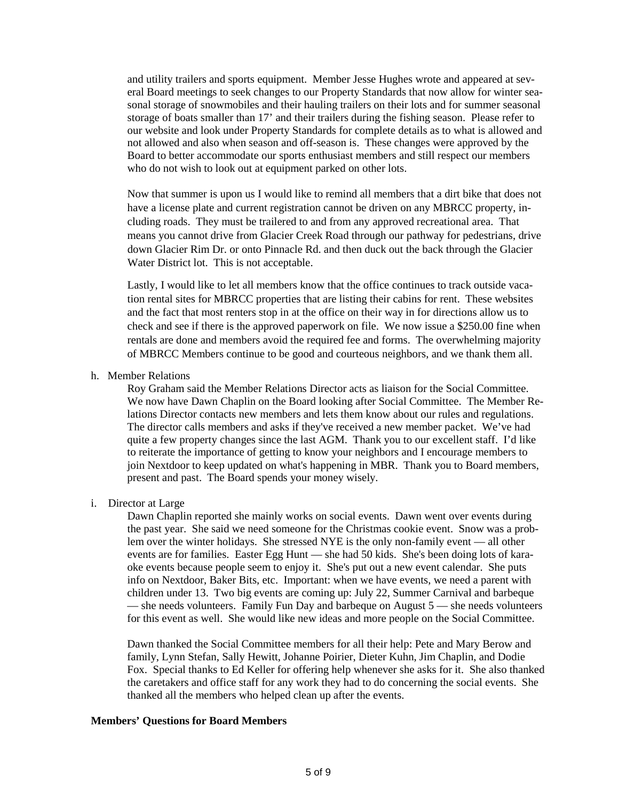and utility trailers and sports equipment. Member Jesse Hughes wrote and appeared at several Board meetings to seek changes to our Property Standards that now allow for winter seasonal storage of snowmobiles and their hauling trailers on their lots and for summer seasonal storage of boats smaller than 17' and their trailers during the fishing season. Please refer to our website and look under Property Standards for complete details as to what is allowed and not allowed and also when season and off-season is. These changes were approved by the Board to better accommodate our sports enthusiast members and still respect our members who do not wish to look out at equipment parked on other lots.

Now that summer is upon us I would like to remind all members that a dirt bike that does not have a license plate and current registration cannot be driven on any MBRCC property, including roads. They must be trailered to and from any approved recreational area. That means you cannot drive from Glacier Creek Road through our pathway for pedestrians, drive down Glacier Rim Dr. or onto Pinnacle Rd. and then duck out the back through the Glacier Water District lot. This is not acceptable.

Lastly, I would like to let all members know that the office continues to track outside vacation rental sites for MBRCC properties that are listing their cabins for rent. These websites and the fact that most renters stop in at the office on their way in for directions allow us to check and see if there is the approved paperwork on file. We now issue a \$250.00 fine when rentals are done and members avoid the required fee and forms. The overwhelming majority of MBRCC Members continue to be good and courteous neighbors, and we thank them all.

h. Member Relations

Roy Graham said the Member Relations Director acts as liaison for the Social Committee. We now have Dawn Chaplin on the Board looking after Social Committee. The Member Relations Director contacts new members and lets them know about our rules and regulations. The director calls members and asks if they've received a new member packet. We've had quite a few property changes since the last AGM. Thank you to our excellent staff. I'd like to reiterate the importance of getting to know your neighbors and I encourage members to join Nextdoor to keep updated on what's happening in MBR. Thank you to Board members, present and past. The Board spends your money wisely.

i. Director at Large

Dawn Chaplin reported she mainly works on social events. Dawn went over events during the past year. She said we need someone for the Christmas cookie event. Snow was a problem over the winter holidays. She stressed NYE is the only non-family event — all other events are for families. Easter Egg Hunt — she had 50 kids. She's been doing lots of karaoke events because people seem to enjoy it. She's put out a new event calendar. She puts info on Nextdoor, Baker Bits, etc. Important: when we have events, we need a parent with children under 13. Two big events are coming up: July 22, Summer Carnival and barbeque — she needs volunteers. Family Fun Day and barbeque on August 5 — she needs volunteers for this event as well. She would like new ideas and more people on the Social Committee.

Dawn thanked the Social Committee members for all their help: Pete and Mary Berow and family, Lynn Stefan, Sally Hewitt, Johanne Poirier, Dieter Kuhn, Jim Chaplin, and Dodie Fox. Special thanks to Ed Keller for offering help whenever she asks for it. She also thanked the caretakers and office staff for any work they had to do concerning the social events. She thanked all the members who helped clean up after the events.

#### **Members' Questions for Board Members**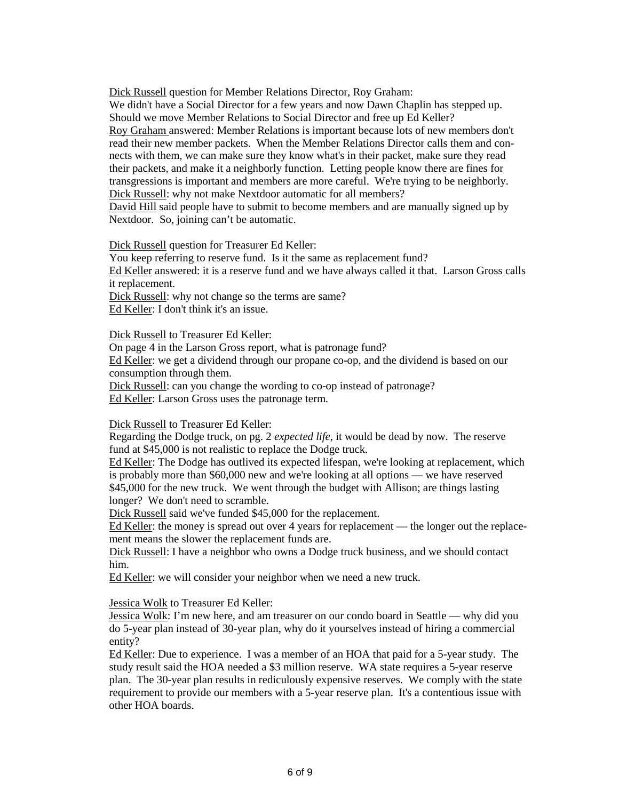Dick Russell question for Member Relations Director, Roy Graham: We didn't have a Social Director for a few years and now Dawn Chaplin has stepped up. Should we move Member Relations to Social Director and free up Ed Keller? Roy Graham answered: Member Relations is important because lots of new members don't read their new member packets. When the Member Relations Director calls them and connects with them, we can make sure they know what's in their packet, make sure they read their packets, and make it a neighborly function. Letting people know there are fines for transgressions is important and members are more careful. We're trying to be neighborly. Dick Russell: why not make Nextdoor automatic for all members?

David Hill said people have to submit to become members and are manually signed up by Nextdoor. So, joining can't be automatic.

Dick Russell question for Treasurer Ed Keller:

You keep referring to reserve fund. Is it the same as replacement fund? Ed Keller answered: it is a reserve fund and we have always called it that. Larson Gross calls

it replacement.

Dick Russell: why not change so the terms are same? Ed Keller: I don't think it's an issue.

Dick Russell to Treasurer Ed Keller:

On page 4 in the Larson Gross report, what is patronage fund? Ed Keller: we get a dividend through our propane co-op, and the dividend is based on our consumption through them.

Dick Russell: can you change the wording to co-op instead of patronage?

Ed Keller: Larson Gross uses the patronage term.

Dick Russell to Treasurer Ed Keller:

Regarding the Dodge truck, on pg. 2 *expected life*, it would be dead by now. The reserve fund at \$45,000 is not realistic to replace the Dodge truck.

Ed Keller: The Dodge has outlived its expected lifespan, we're looking at replacement, which is probably more than \$60,000 new and we're looking at all options — we have reserved \$45,000 for the new truck. We went through the budget with Allison; are things lasting longer? We don't need to scramble.

Dick Russell said we've funded \$45,000 for the replacement.

Ed Keller: the money is spread out over 4 years for replacement — the longer out the replacement means the slower the replacement funds are.

Dick Russell: I have a neighbor who owns a Dodge truck business, and we should contact him.

Ed Keller: we will consider your neighbor when we need a new truck.

Jessica Wolk to Treasurer Ed Keller:

Jessica Wolk: I'm new here, and am treasurer on our condo board in Seattle — why did you do 5-year plan instead of 30-year plan, why do it yourselves instead of hiring a commercial entity?

Ed Keller: Due to experience. I was a member of an HOA that paid for a 5-year study. The study result said the HOA needed a \$3 million reserve. WA state requires a 5-year reserve plan. The 30-year plan results in rediculously expensive reserves. We comply with the state requirement to provide our members with a 5-year reserve plan. It's a contentious issue with other HOA boards.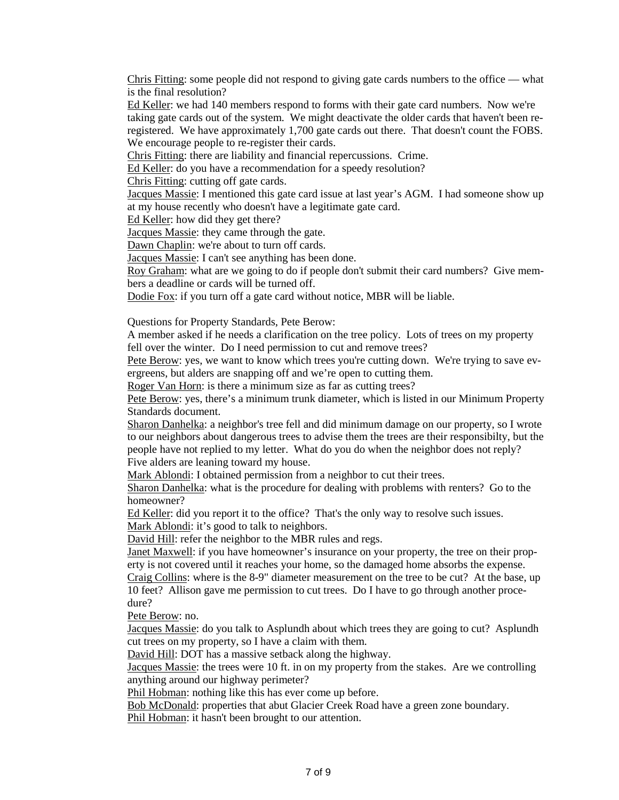Chris Fitting: some people did not respond to giving gate cards numbers to the office — what is the final resolution?

Ed Keller: we had 140 members respond to forms with their gate card numbers. Now we're taking gate cards out of the system. We might deactivate the older cards that haven't been reregistered. We have approximately 1,700 gate cards out there. That doesn't count the FOBS. We encourage people to re-register their cards.

Chris Fitting: there are liability and financial repercussions. Crime.

Ed Keller: do you have a recommendation for a speedy resolution?

Chris Fitting: cutting off gate cards.

Jacques Massie: I mentioned this gate card issue at last year's AGM. I had someone show up at my house recently who doesn't have a legitimate gate card.

Ed Keller: how did they get there?

Jacques Massie: they came through the gate.

Dawn Chaplin: we're about to turn off cards.

Jacques Massie: I can't see anything has been done.

Roy Graham: what are we going to do if people don't submit their card numbers? Give members a deadline or cards will be turned off.

Dodie Fox: if you turn off a gate card without notice, MBR will be liable.

Questions for Property Standards, Pete Berow:

A member asked if he needs a clarification on the tree policy. Lots of trees on my property fell over the winter. Do I need permission to cut and remove trees?

Pete Berow: yes, we want to know which trees you're cutting down. We're trying to save evergreens, but alders are snapping off and we're open to cutting them.

Roger Van Horn: is there a minimum size as far as cutting trees?

Pete Berow: yes, there's a minimum trunk diameter, which is listed in our Minimum Property Standards document.

Sharon Danhelka: a neighbor's tree fell and did minimum damage on our property, so I wrote to our neighbors about dangerous trees to advise them the trees are their responsibilty, but the people have not replied to my letter. What do you do when the neighbor does not reply? Five alders are leaning toward my house.

Mark Ablondi: I obtained permission from a neighbor to cut their trees.

Sharon Danhelka: what is the procedure for dealing with problems with renters? Go to the homeowner?

Ed Keller: did you report it to the office? That's the only way to resolve such issues. Mark Ablondi: it's good to talk to neighbors.

David Hill: refer the neighbor to the MBR rules and regs.

Janet Maxwell: if you have homeowner's insurance on your property, the tree on their property is not covered until it reaches your home, so the damaged home absorbs the expense.

Craig Collins: where is the 8-9" diameter measurement on the tree to be cut? At the base, up 10 feet? Allison gave me permission to cut trees. Do I have to go through another procedure?

Pete Berow: no.

Jacques Massie: do you talk to Asplundh about which trees they are going to cut? Asplundh cut trees on my property, so I have a claim with them.

David Hill: DOT has a massive setback along the highway.

Jacques Massie: the trees were 10 ft. in on my property from the stakes. Are we controlling anything around our highway perimeter?

Phil Hobman: nothing like this has ever come up before.

Bob McDonald: properties that abut Glacier Creek Road have a green zone boundary. Phil Hobman: it hasn't been brought to our attention.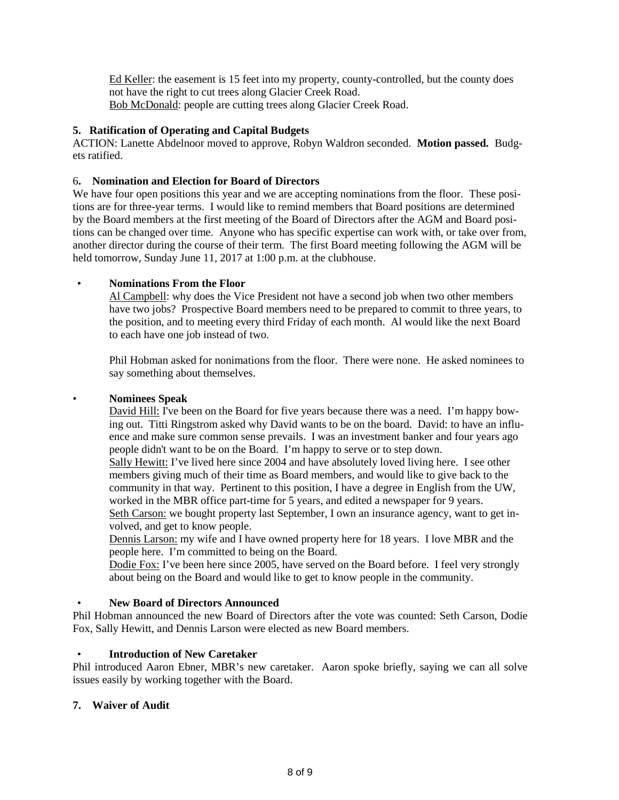Ed Keller: the easement is 15 feet into my property, county-controlled, but the county does not have the right to cut trees along Glacier Creek Road. Bob McDonald: people are cutting trees along Glacier Creek Road.

# **5. Ratification of Operating and Capital Budgets**

ACTION: Lanette Abdelnoor moved to approve, Robyn Waldron seconded. **Motion passed.** Budgets ratified.

## 6**. Nomination and Election for Board of Directors**

We have four open positions this year and we are accepting nominations from the floor. These positions are for three-year terms. I would like to remind members that Board positions are determined by the Board members at the first meeting of the Board of Directors after the AGM and Board positions can be changed over time. Anyone who has specific expertise can work with, or take over from, another director during the course of their term. The first Board meeting following the AGM will be held tomorrow, Sunday June 11, 2017 at 1:00 p.m. at the clubhouse.

# • **Nominations From the Floor**

Al Campbell: why does the Vice President not have a second job when two other members have two jobs? Prospective Board members need to be prepared to commit to three years, to the position, and to meeting every third Friday of each month. Al would like the next Board to each have one job instead of two.

Phil Hobman asked for nonimations from the floor. There were none. He asked nominees to say something about themselves.

## • **Nominees Speak**

David Hill: I've been on the Board for five years because there was a need. I'm happy bowing out. Titti Ringstrom asked why David wants to be on the board. David: to have an influence and make sure common sense prevails. I was an investment banker and four years ago people didn't want to be on the Board. I'm happy to serve or to step down.

Sally Hewitt: I've lived here since 2004 and have absolutely loved living here. I see other members giving much of their time as Board members, and would like to give back to the community in that way. Pertinent to this position, I have a degree in English from the UW, worked in the MBR office part-time for 5 years, and edited a newspaper for 9 years.

Seth Carson: we bought property last September, I own an insurance agency, want to get involved, and get to know people.

Dennis Larson: my wife and I have owned property here for 18 years. I love MBR and the people here. I'm committed to being on the Board.

Dodie Fox: I've been here since 2005, have served on the Board before. I feel very strongly about being on the Board and would like to get to know people in the community.

## • **New Board of Directors Announced**

Phil Hobman announced the new Board of Directors after the vote was counted: Seth Carson, Dodie Fox, Sally Hewitt, and Dennis Larson were elected as new Board members.

## • **Introduction of New Caretaker**

Phil introduced Aaron Ebner, MBR's new caretaker. Aaron spoke briefly, saying we can all solve issues easily by working together with the Board.

## **7. Waiver of Audit**